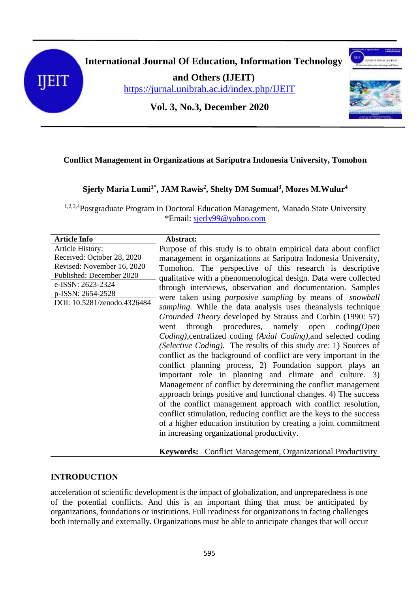



**and Others (IJEIT)**

<https://jurnal.unibrah.ac.id/index.php/IJEIT>



**Vol. 3, No.3, December 2020**

# **Conflict Management in Organizations at Sariputra Indonesia University, Tomohon**

# **Sjerly Maria Lumi1\*, JAM Rawis<sup>2</sup> , Shelty DM Sumual<sup>3</sup> , Mozes M.Wulur 4**

1,2,3,4Postgraduate Program in Doctoral Education Management, Manado State University \*Email: [sjerly99@yahoo.com](mailto:sjerly99@yahoo.com)

| <b>Article Info</b>                                                                                                                                                               | Abstract:                                                                                                                                                                                                                                                                |
|-----------------------------------------------------------------------------------------------------------------------------------------------------------------------------------|--------------------------------------------------------------------------------------------------------------------------------------------------------------------------------------------------------------------------------------------------------------------------|
| Article History:<br>Received: October 28, 2020<br>Revised: November 16, 2020<br>Published: December 2020<br>e-ISSN: 2623-2324<br>p-ISSN: 2654-2528<br>DOI: 10.5281/zenodo.4326484 | Purpose of this study is to obtain empirical data about conflict<br>management in organizations at Sariputra Indonesia University,<br>Tomohon. The perspective of this research is descriptive                                                                           |
|                                                                                                                                                                                   | qualitative with a phenomenological design. Data were collected<br>through interviews, observation and documentation. Samples<br>were taken using <i>purposive sampling</i> by means of <i>snowball</i><br>sampling. While the data analysis uses the analysis technique |
|                                                                                                                                                                                   | Grounded Theory developed by Strauss and Corbin (1990: 57)<br>through procedures, namely open $coding (Open$<br>went<br>Coding), centralized coding (Axial Coding), and selected coding                                                                                  |
|                                                                                                                                                                                   | (Selective Coding). The results of this study are: 1) Sources of<br>conflict as the background of conflict are very important in the<br>conflict planning process, 2) Foundation support plays an                                                                        |
|                                                                                                                                                                                   | important role in planning and climate and culture. 3)<br>Management of conflict by determining the conflict management<br>approach brings positive and functional changes. 4) The success<br>of the conflict management approach with conflict resolution,              |
|                                                                                                                                                                                   | conflict stimulation, reducing conflict are the keys to the success<br>of a higher education institution by creating a joint commitment                                                                                                                                  |
|                                                                                                                                                                                   | in increasing organizational productivity.                                                                                                                                                                                                                               |

**Keywords:** Conflict Management, Organizational Productivity

# **INTRODUCTION**

acceleration of scientific development is the impact of globalization, and unpreparedness is one of the potential conflicts. And this is an important thing that must be anticipated by organizations, foundations or institutions. Full readiness for organizations in facing challenges both internally and externally. Organizations must be able to anticipate changes that will occur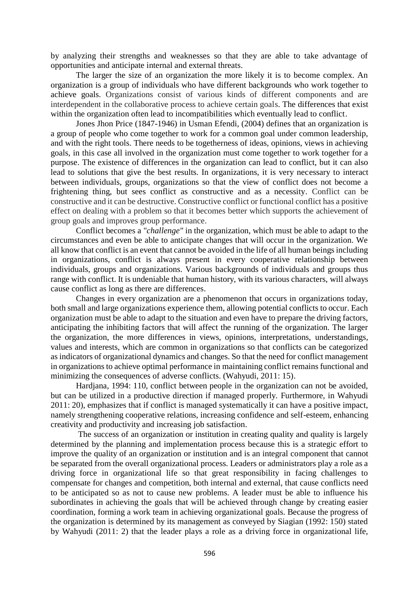by analyzing their strengths and weaknesses so that they are able to take advantage of opportunities and anticipate internal and external threats.

 The larger the size of an organization the more likely it is to become complex. An organization is a group of individuals who have different backgrounds who work together to achieve goals. Organizations consist of various kinds of different components and are interdependent in the collaborative process to achieve certain goals. The differences that exist within the organization often lead to incompatibilities which eventually lead to conflict.

Jones Jhon Price (1847-1946) in Usman Efendi, (2004) defines that an organization is a group of people who come together to work for a common goal under common leadership, and with the right tools. There needs to be togetherness of ideas, opinions, views in achieving goals, in this case all involved in the organization must come together to work together for a purpose. The existence of differences in the organization can lead to conflict, but it can also lead to solutions that give the best results. In organizations, it is very necessary to interact between individuals, groups, organizations so that the view of conflict does not become a frightening thing, but sees conflict as constructive and as a necessity. Conflict can be constructive and it can be destructive. Constructive conflict or functional conflict has a positive effect on dealing with a problem so that it becomes better which supports the achievement of group goals and improves group performance.

Conflict becomes a "*challenge"* in the organization, which must be able to adapt to the circumstances and even be able to anticipate changes that will occur in the organization. We all know that conflict is an event that cannot be avoided in the life of all human beings including in organizations, conflict is always present in every cooperative relationship between individuals, groups and organizations. Various backgrounds of individuals and groups thus range with conflict. It is undeniable that human history, with its various characters, will always cause conflict as long as there are differences.

Changes in every organization are a phenomenon that occurs in organizations today, both small and large organizations experience them, allowing potential conflicts to occur. Each organization must be able to adapt to the situation and even have to prepare the driving factors, anticipating the inhibiting factors that will affect the running of the organization. The larger the organization, the more differences in views, opinions, interpretations, understandings, values and interests, which are common in organizations so that conflicts can be categorized as indicators of organizational dynamics and changes. So that the need for conflict management in organizations to achieve optimal performance in maintaining conflict remains functional and minimizing the consequences of adverse conflicts. (Wahyudi, 2011: 15).

Hardjana, 1994: 110, conflict between people in the organization can not be avoided, but can be utilized in a productive direction if managed properly. Furthermore, in Wahyudi 2011: 20), emphasizes that if conflict is managed systematically it can have a positive impact, namely strengthening cooperative relations, increasing confidence and self-esteem, enhancing creativity and productivity and increasing job satisfaction.

 The success of an organization or institution in creating quality and quality is largely determined by the planning and implementation process because this is a strategic effort to improve the quality of an organization or institution and is an integral component that cannot be separated from the overall organizational process. Leaders or administrators play a role as a driving force in organizational life so that great responsibility in facing challenges to compensate for changes and competition, both internal and external, that cause conflicts need to be anticipated so as not to cause new problems. A leader must be able to influence his subordinates in achieving the goals that will be achieved through change by creating easier coordination, forming a work team in achieving organizational goals. Because the progress of the organization is determined by its management as conveyed by Siagian (1992: 150) stated by Wahyudi (2011: 2) that the leader plays a role as a driving force in organizational life,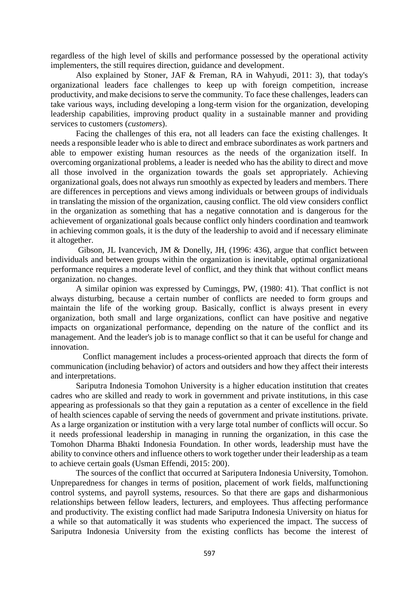regardless of the high level of skills and performance possessed by the operational activity implementers, the still requires direction, guidance and development.

 Also explained by Stoner, JAF & Freman, RA in Wahyudi, 2011: 3), that today's organizational leaders face challenges to keep up with foreign competition, increase productivity, and make decisions to serve the community. To face these challenges, leaders can take various ways, including developing a long-term vision for the organization, developing leadership capabilities, improving product quality in a sustainable manner and providing services to customers (*customers*).

 Facing the challenges of this era, not all leaders can face the existing challenges. It needs a responsible leader who is able to direct and embrace subordinates as work partners and able to empower existing human resources as the needs of the organization itself. In overcoming organizational problems, a leader is needed who has the ability to direct and move all those involved in the organization towards the goals set appropriately. Achieving organizational goals, does not always run smoothly as expected by leaders and members. There are differences in perceptions and views among individuals or between groups of individuals in translating the mission of the organization, causing conflict. The old view considers conflict in the organization as something that has a negative connotation and is dangerous for the achievement of organizational goals because conflict only hinders coordination and teamwork in achieving common goals, it is the duty of the leadership to avoid and if necessary eliminate it altogether.

 Gibson, JL Ivancevich, JM & Donelly, JH, (1996: 436), argue that conflict between individuals and between groups within the organization is inevitable, optimal organizational performance requires a moderate level of conflict, and they think that without conflict means organization. no changes.

 A similar opinion was expressed by Cuminggs, PW, (1980: 41). That conflict is not always disturbing, because a certain number of conflicts are needed to form groups and maintain the life of the working group. Basically, conflict is always present in every organization, both small and large organizations, conflict can have positive and negative impacts on organizational performance, depending on the nature of the conflict and its management. And the leader's job is to manage conflict so that it can be useful for change and innovation.

 Conflict management includes a process-oriented approach that directs the form of communication (including behavior) of actors and outsiders and how they affect their interests and interpretations.

 Sariputra Indonesia Tomohon University is a higher education institution that creates cadres who are skilled and ready to work in government and private institutions, in this case appearing as professionals so that they gain a reputation as a center of excellence in the field of health sciences capable of serving the needs of government and private institutions. private. As a large organization or institution with a very large total number of conflicts will occur. So it needs professional leadership in managing in running the organization, in this case the Tomohon Dharma Bhakti Indonesia Foundation. In other words, leadership must have the ability to convince others and influence others to work together under their leadership as a team to achieve certain goals (Usman Effendi, 2015: 200).

 The sources of the conflict that occurred at Sariputera Indonesia University, Tomohon. Unpreparedness for changes in terms of position, placement of work fields, malfunctioning control systems, and payroll systems, resources. So that there are gaps and disharmonious relationships between fellow leaders, lecturers, and employees. Thus affecting performance and productivity. The existing conflict had made Sariputra Indonesia University on hiatus for a while so that automatically it was students who experienced the impact. The success of Sariputra Indonesia University from the existing conflicts has become the interest of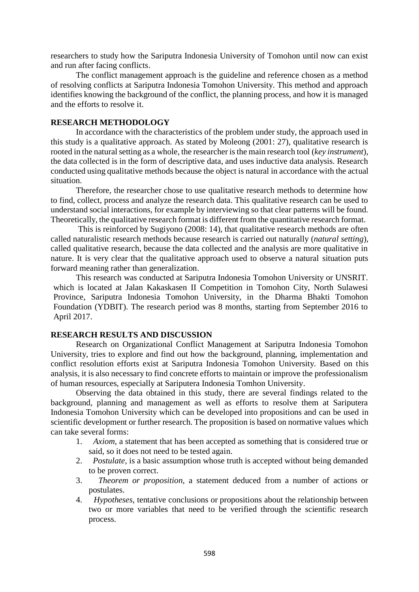researchers to study how the Sariputra Indonesia University of Tomohon until now can exist and run after facing conflicts.

 The conflict management approach is the guideline and reference chosen as a method of resolving conflicts at Sariputra Indonesia Tomohon University. This method and approach identifies knowing the background of the conflict, the planning process, and how it is managed and the efforts to resolve it.

#### **RESEARCH METHODOLOGY**

 In accordance with the characteristics of the problem under study, the approach used in this study is a qualitative approach. As stated by Moleong (2001: 27), qualitative research is rooted in the natural setting as a whole, the researcher is the main research tool (*key instrument*), the data collected is in the form of descriptive data, and uses inductive data analysis. Research conducted using qualitative methods because the object is natural in accordance with the actual situation.

Therefore, the researcher chose to use qualitative research methods to determine how to find, collect, process and analyze the research data. This qualitative research can be used to understand social interactions, for example by interviewing so that clear patterns will be found. Theoretically, the qualitative research format is different from the quantitative research format.

 This is reinforced by Sugiyono (2008: 14), that qualitative research methods are often called naturalistic research methods because research is carried out naturally (*natural setting*), called qualitative research, because the data collected and the analysis are more qualitative in nature. It is very clear that the qualitative approach used to observe a natural situation puts forward meaning rather than generalization.

This research was conducted at Sariputra Indonesia Tomohon University or UNSRIT. which is located at Jalan Kakaskasen II Competition in Tomohon City, North Sulawesi Province, Sariputra Indonesia Tomohon University, in the Dharma Bhakti Tomohon Foundation (YDBIT). The research period was 8 months, starting from September 2016 to April 2017.

#### **RESEARCH RESULTS AND DISCUSSION**

 Research on Organizational Conflict Management at Sariputra Indonesia Tomohon University, tries to explore and find out how the background, planning, implementation and conflict resolution efforts exist at Sariputra Indonesia Tomohon University. Based on this analysis, it is also necessary to find concrete efforts to maintain or improve the professionalism of human resources, especially at Sariputera Indonesia Tomhon University.

Observing the data obtained in this study, there are several findings related to the background, planning and management as well as efforts to resolve them at Sariputera Indonesia Tomohon University which can be developed into propositions and can be used in scientific development or further research. The proposition is based on normative values which can take several forms:

- 1. *Axiom*, a statement that has been accepted as something that is considered true or said, so it does not need to be tested again.
- 2. *Postulate*, is a basic assumption whose truth is accepted without being demanded to be proven correct.
- 3. *Theorem or proposition*, a statement deduced from a number of actions or postulates.
- 4. *Hypotheses*, tentative conclusions or propositions about the relationship between two or more variables that need to be verified through the scientific research process.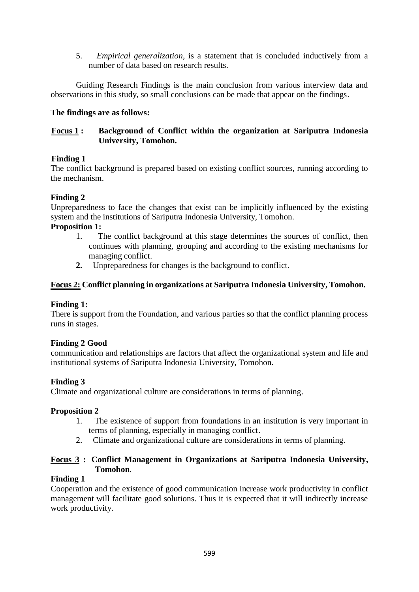5. *Empirical generalization*, is a statement that is concluded inductively from a number of data based on research results.

Guiding Research Findings is the main conclusion from various interview data and observations in this study, so small conclusions can be made that appear on the findings.

# **The findings are as follows:**

# **Focus 1 : Background of Conflict within the organization at Sariputra Indonesia University, Tomohon.**

# **Finding 1**

The conflict background is prepared based on existing conflict sources, running according to the mechanism.

# **Finding 2**

Unpreparedness to face the changes that exist can be implicitly influenced by the existing system and the institutions of Sariputra Indonesia University, Tomohon.

# **Proposition 1:**

- 1. The conflict background at this stage determines the sources of conflict, then continues with planning, grouping and according to the existing mechanisms for managing conflict.
- **2.** Unpreparedness for changes is the background to conflict.

# **Focus 2: Conflict planning in organizations at Sariputra Indonesia University, Tomohon.**

# **Finding 1:**

There is support from the Foundation, and various parties so that the conflict planning process runs in stages.

# **Finding 2 Good**

communication and relationships are factors that affect the organizational system and life and institutional systems of Sariputra Indonesia University, Tomohon.

# **Finding 3**

Climate and organizational culture are considerations in terms of planning.

# **Proposition 2**

- 1. The existence of support from foundations in an institution is very important in terms of planning, especially in managing conflict.
- 2. Climate and organizational culture are considerations in terms of planning.

# **Focus 3 : Conflict Management in Organizations at Sariputra Indonesia University, Tomohon**.

# **Finding 1**

Cooperation and the existence of good communication increase work productivity in conflict management will facilitate good solutions. Thus it is expected that it will indirectly increase work productivity.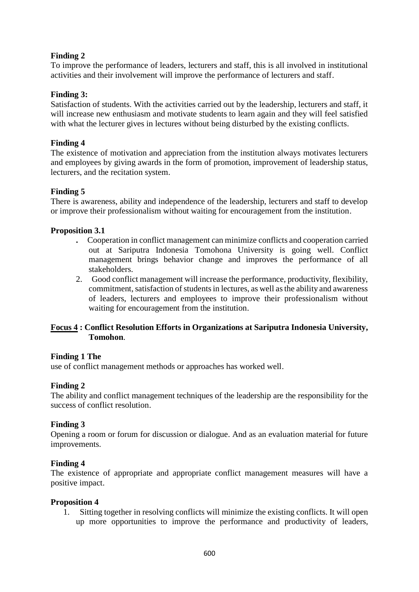# **Finding 2**

To improve the performance of leaders, lecturers and staff, this is all involved in institutional activities and their involvement will improve the performance of lecturers and staff.

### **Finding 3:**

Satisfaction of students. With the activities carried out by the leadership, lecturers and staff, it will increase new enthusiasm and motivate students to learn again and they will feel satisfied with what the lecturer gives in lectures without being disturbed by the existing conflicts.

### **Finding 4**

The existence of motivation and appreciation from the institution always motivates lecturers and employees by giving awards in the form of promotion, improvement of leadership status, lecturers, and the recitation system.

### **Finding 5**

There is awareness, ability and independence of the leadership, lecturers and staff to develop or improve their professionalism without waiting for encouragement from the institution.

#### **Proposition 3.1**

- **.** Cooperation in conflict management can minimize conflicts and cooperation carried out at Sariputra Indonesia Tomohona University is going well. Conflict management brings behavior change and improves the performance of all stakeholders.
- 2. Good conflict management will increase the performance, productivity, flexibility, commitment, satisfaction of students in lectures, as well as the ability and awareness of leaders, lecturers and employees to improve their professionalism without waiting for encouragement from the institution.

### **Focus 4 : Conflict Resolution Efforts in Organizations at Sariputra Indonesia University, Tomohon**.

#### **Finding 1 The**

use of conflict management methods or approaches has worked well.

#### **Finding 2**

The ability and conflict management techniques of the leadership are the responsibility for the success of conflict resolution.

#### **Finding 3**

Opening a room or forum for discussion or dialogue. And as an evaluation material for future improvements.

#### **Finding 4**

The existence of appropriate and appropriate conflict management measures will have a positive impact.

#### **Proposition 4**

1. Sitting together in resolving conflicts will minimize the existing conflicts. It will open up more opportunities to improve the performance and productivity of leaders,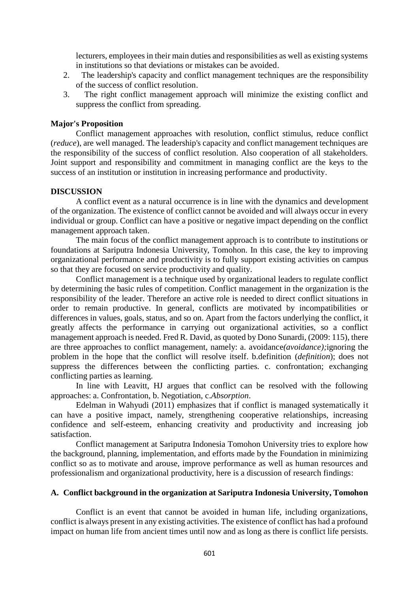lecturers, employees in their main duties and responsibilities as well as existing systems in institutions so that deviations or mistakes can be avoided.

- 2. The leadership's capacity and conflict management techniques are the responsibility of the success of conflict resolution.
- 3. The right conflict management approach will minimize the existing conflict and suppress the conflict from spreading.

#### **Major's Proposition**

 Conflict management approaches with resolution, conflict stimulus, reduce conflict (*reduce*), are well managed. The leadership's capacity and conflict management techniques are the responsibility of the success of conflict resolution. Also cooperation of all stakeholders. Joint support and responsibility and commitment in managing conflict are the keys to the success of an institution or institution in increasing performance and productivity.

#### **DISCUSSION**

 A conflict event as a natural occurrence is in line with the dynamics and development of the organization. The existence of conflict cannot be avoided and will always occur in every individual or group. Conflict can have a positive or negative impact depending on the conflict management approach taken.

 The main focus of the conflict management approach is to contribute to institutions or foundations at Sariputra Indonesia University, Tomohon. In this case, the key to improving organizational performance and productivity is to fully support existing activities on campus so that they are focused on service productivity and quality.

 Conflict management is a technique used by organizational leaders to regulate conflict by determining the basic rules of competition. Conflict management in the organization is the responsibility of the leader. Therefore an active role is needed to direct conflict situations in order to remain productive. In general, conflicts are motivated by incompatibilities or differences in values, goals, status, and so on. Apart from the factors underlying the conflict, it greatly affects the performance in carrying out organizational activities, so a conflict management approach is needed. Fred R. David, as quoted by Dono Sunardi, (2009: 115), there are three approaches to conflict management, namely: a. avoidance*(avoidance);*ignoring the problem in the hope that the conflict will resolve itself. b.definition (*definition*); does not suppress the differences between the conflicting parties. c. confrontation; exchanging conflicting parties as learning.

 In line with Leavitt, HJ argues that conflict can be resolved with the following approaches: a. Confrontation, b. Negotiation, c.*Absorption*.

 Edelman in Wahyudi (2011) emphasizes that if conflict is managed systematically it can have a positive impact, namely, strengthening cooperative relationships, increasing confidence and self-esteem, enhancing creativity and productivity and increasing job satisfaction.

 Conflict management at Sariputra Indonesia Tomohon University tries to explore how the background, planning, implementation, and efforts made by the Foundation in minimizing conflict so as to motivate and arouse, improve performance as well as human resources and professionalism and organizational productivity, here is a discussion of research findings:

#### **A. Conflict background in the organization at Sariputra Indonesia University, Tomohon**

 Conflict is an event that cannot be avoided in human life, including organizations, conflict is always present in any existing activities. The existence of conflict has had a profound impact on human life from ancient times until now and as long as there is conflict life persists.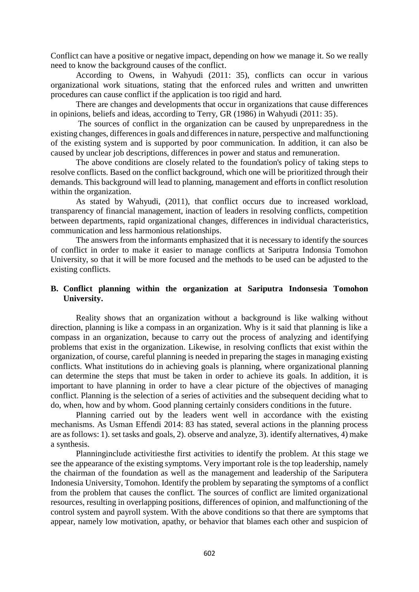Conflict can have a positive or negative impact, depending on how we manage it. So we really need to know the background causes of the conflict.

 According to Owens, in Wahyudi (2011: 35), conflicts can occur in various organizational work situations, stating that the enforced rules and written and unwritten procedures can cause conflict if the application is too rigid and hard.

 There are changes and developments that occur in organizations that cause differences in opinions, beliefs and ideas, according to Terry, GR (1986) in Wahyudi (2011: 35).

 The sources of conflict in the organization can be caused by unpreparedness in the existing changes, differences in goals and differences in nature, perspective and malfunctioning of the existing system and is supported by poor communication. In addition, it can also be caused by unclear job descriptions, differences in power and status and remuneration.

 The above conditions are closely related to the foundation's policy of taking steps to resolve conflicts. Based on the conflict background, which one will be prioritized through their demands. This background will lead to planning, management and efforts in conflict resolution within the organization.

As stated by Wahyudi, (2011), that conflict occurs due to increased workload, transparency of financial management, inaction of leaders in resolving conflicts, competition between departments, rapid organizational changes, differences in individual characteristics, communication and less harmonious relationships.

 The answers from the informants emphasized that it is necessary to identify the sources of conflict in order to make it easier to manage conflicts at Sariputra Indonsia Tomohon University, so that it will be more focused and the methods to be used can be adjusted to the existing conflicts.

### **B. Conflict planning within the organization at Sariputra Indonsesia Tomohon University.**

Reality shows that an organization without a background is like walking without direction, planning is like a compass in an organization. Why is it said that planning is like a compass in an organization, because to carry out the process of analyzing and identifying problems that exist in the organization. Likewise, in resolving conflicts that exist within the organization, of course, careful planning is needed in preparing the stages in managing existing conflicts. What institutions do in achieving goals is planning, where organizational planning can determine the steps that must be taken in order to achieve its goals. In addition, it is important to have planning in order to have a clear picture of the objectives of managing conflict. Planning is the selection of a series of activities and the subsequent deciding what to do, when, how and by whom. Good planning certainly considers conditions in the future.

Planning carried out by the leaders went well in accordance with the existing mechanisms. As Usman Effendi 2014: 83 has stated, several actions in the planning process are as follows: 1). set tasks and goals, 2). observe and analyze, 3). identify alternatives, 4) make a synthesis.

Planninginclude activitiesthe first activities to identify the problem. At this stage we see the appearance of the existing symptoms. Very important role is the top leadership, namely the chairman of the foundation as well as the management and leadership of the Sariputera Indonesia University, Tomohon. Identify the problem by separating the symptoms of a conflict from the problem that causes the conflict. The sources of conflict are limited organizational resources, resulting in overlapping positions, differences of opinion, and malfunctioning of the control system and payroll system. With the above conditions so that there are symptoms that appear, namely low motivation, apathy, or behavior that blames each other and suspicion of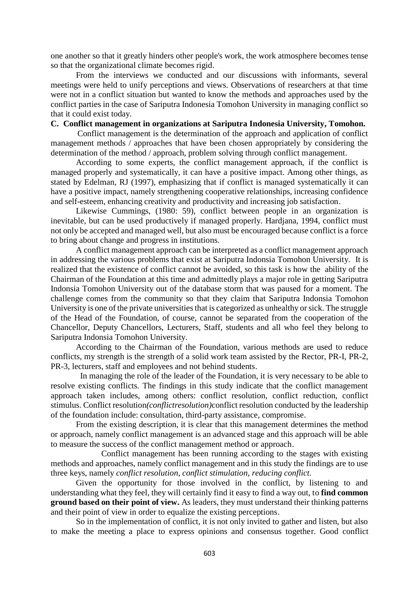one another so that it greatly hinders other people's work, the work atmosphere becomes tense so that the organizational climate becomes rigid.

 From the interviews we conducted and our discussions with informants, several meetings were held to unify perceptions and views. Observations of researchers at that time were not in a conflict situation but wanted to know the methods and approaches used by the conflict parties in the case of Sariputra Indonesia Tomohon University in managing conflict so that it could exist today.

#### **C. Conflict management in organizations at Sariputra Indonesia University, Tomohon.**

 Conflict management is the determination of the approach and application of conflict management methods / approaches that have been chosen appropriately by considering the determination of the method / approach, problem solving through conflict management.

According to some experts, the conflict management approach, if the conflict is managed properly and systematically, it can have a positive impact. Among other things, as stated by Edelman, RJ (1997), emphasizing that if conflict is managed systematically it can have a positive impact, namely strengthening cooperative relationships, increasing confidence and self-esteem, enhancing creativity and productivity and increasing job satisfaction.

Likewise Cummings, (1980: 59), conflict between people in an organization is inevitable, but can be used productively if managed properly. Hardjana, 1994, conflict must not only be accepted and managed well, but also must be encouraged because conflict is a force to bring about change and progress in institutions.

A conflict management approach can be interpreted as a conflict management approach in addressing the various problems that exist at Sariputra Indonsia Tomohon University. It is realized that the existence of conflict cannot be avoided, so this task is how the ability of the Chairman of the Foundation at this time and admittedly plays a major role in getting Sariputra Indonsia Tomohon University out of the database storm that was paused for a moment. The challenge comes from the community so that they claim that Sariputra Indonsia Tomohon University is one of the private universities that is categorized as unhealthy or sick. The struggle of the Head of the Foundation, of course, cannot be separated from the cooperation of the Chancellor, Deputy Chancellors, Lecturers, Staff, students and all who feel they belong to Sariputra Indonsia Tomohon University.

 According to the Chairman of the Foundation, various methods are used to reduce conflicts, my strength is the strength of a solid work team assisted by the Rector, PR-I, PR-2, PR-3, lecturers, staff and employees and not behind students.

 In managing the role of the leader of the Foundation, it is very necessary to be able to resolve existing conflicts. The findings in this study indicate that the conflict management approach taken includes, among others: conflict resolution, conflict reduction, conflict stimulus. Conflict resolution*(conflictresolution)*conflict resolution conducted by the leadership of the foundation include: consultation, third-party assistance, compromise.

From the existing description, it is clear that this management determines the method or approach, namely conflict management is an advanced stage and this approach will be able to measure the success of the conflict management method or approach.

Conflict management has been running according to the stages with existing methods and approaches, namely conflict management and in this study the findings are to use three keys, namely *conflict resolution*, *conflict stimulation*, *reducing conflict.*

 Given the opportunity for those involved in the conflict, by listening to and understanding what they feel, they will certainly find it easy to find a way out, to **find common ground based on their point of view.** As leaders, they must understand their thinking patterns and their point of view in order to equalize the existing perceptions.

 So in the implementation of conflict, it is not only invited to gather and listen, but also to make the meeting a place to express opinions and consensus together. Good conflict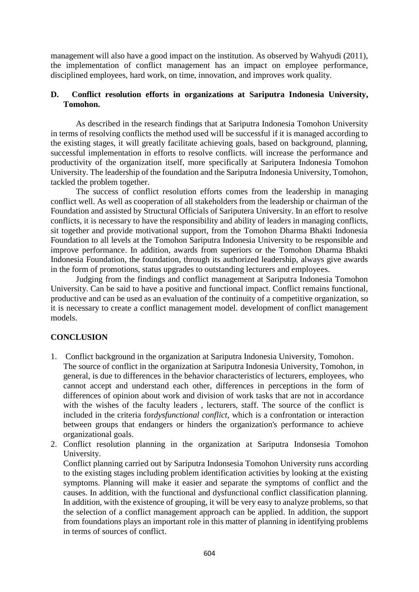management will also have a good impact on the institution. As observed by Wahyudi (2011), the implementation of conflict management has an impact on employee performance, disciplined employees, hard work, on time, innovation, and improves work quality.

### **D. Conflict resolution efforts in organizations at Sariputra Indonesia University, Tomohon.**

 As described in the research findings that at Sariputra Indonesia Tomohon University in terms of resolving conflicts the method used will be successful if it is managed according to the existing stages, it will greatly facilitate achieving goals, based on background, planning, successful implementation in efforts to resolve conflicts. will increase the performance and productivity of the organization itself, more specifically at Sariputera Indonesia Tomohon University. The leadership of the foundation and the Sariputra Indonesia University, Tomohon, tackled the problem together.

The success of conflict resolution efforts comes from the leadership in managing conflict well. As well as cooperation of all stakeholders from the leadership or chairman of the Foundation and assisted by Structural Officials of Sariputera University. In an effort to resolve conflicts, it is necessary to have the responsibility and ability of leaders in managing conflicts, sit together and provide motivational support, from the Tomohon Dharma Bhakti Indonesia Foundation to all levels at the Tomohon Sariputra Indonesia University to be responsible and improve performance. In addition, awards from superiors or the Tomohon Dharma Bhakti Indonesia Foundation, the foundation, through its authorized leadership, always give awards in the form of promotions, status upgrades to outstanding lecturers and employees.

 Judging from the findings and conflict management at Sariputra Indonesia Tomohon University. Can be said to have a positive and functional impact. Conflict remains functional, productive and can be used as an evaluation of the continuity of a competitive organization, so it is necessary to create a conflict management model. development of conflict management models.

# **CONCLUSION**

- 1. Conflict background in the organization at Sariputra Indonesia University, Tomohon. The source of conflict in the organization at Sariputra Indonesia University, Tomohon, in general, is due to differences in the behavior characteristics of lecturers, employees, who cannot accept and understand each other, differences in perceptions in the form of differences of opinion about work and division of work tasks that are not in accordance with the wishes of the faculty leaders , lecturers, staff. The source of the conflict is included in the criteria for*dysfunctional conflict*, which is a confrontation or interaction between groups that endangers or hinders the organization's performance to achieve organizational goals.
- 2. Conflict resolution planning in the organization at Sariputra Indonsesia Tomohon University.

Conflict planning carried out by Sariputra Indonsesia Tomohon University runs according to the existing stages including problem identification activities by looking at the existing symptoms. Planning will make it easier and separate the symptoms of conflict and the causes. In addition, with the functional and dysfunctional conflict classification planning. In addition, with the existence of grouping, it will be very easy to analyze problems, so that the selection of a conflict management approach can be applied. In addition, the support from foundations plays an important role in this matter of planning in identifying problems in terms of sources of conflict.